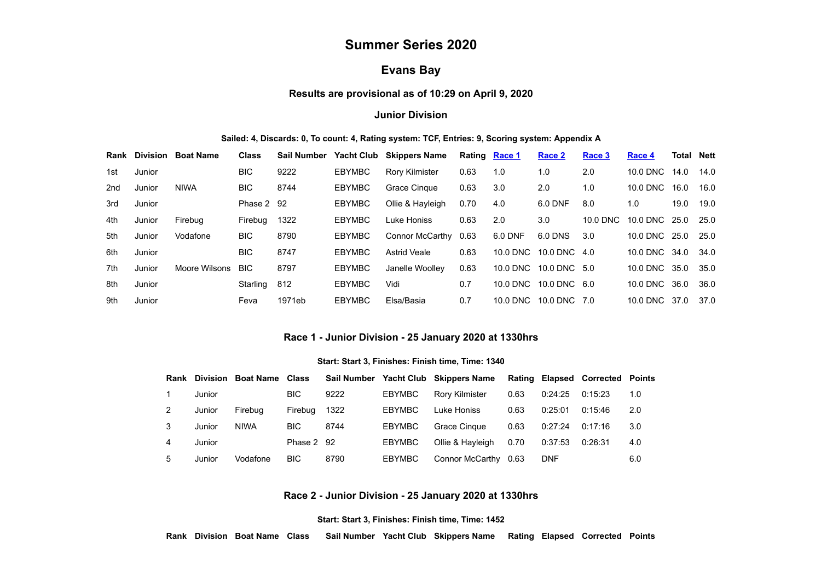# **Summer Series 2020**

## **Evans Bay**

## **Results are provisional as of 10:29 on April 9, 2020**

## **Junior Division**

#### **Sailed: 4, Discards: 0, To count: 4, Rating system: TCF, Entries: 9, Scoring system: Appendix A**

|     | <b>Rank Division</b> | <b>Boat Name</b> | <b>Class</b> | <b>Sail Number</b> |               | Yacht Club Skippers Name | Rating Race 1 |          | Race 2           | Race 3   | Race 4        | Total | Nett |
|-----|----------------------|------------------|--------------|--------------------|---------------|--------------------------|---------------|----------|------------------|----------|---------------|-------|------|
| 1st | Junior               |                  | <b>BIC</b>   | 9222               | <b>EBYMBC</b> | <b>Rory Kilmister</b>    | 0.63          | 1.0      | 1.0              | 2.0      | 10.0 DNC      | 14.0  | 14.0 |
| 2nd | Junior               | <b>NIWA</b>      | BIC.         | 8744               | <b>EBYMBC</b> | Grace Cingue             | 0.63          | 3.0      | 2.0              | 1.0      | 10.0 DNC      | 16.0  | 16.0 |
| 3rd | Junior               |                  | Phase 2 92   |                    | <b>EBYMBC</b> | Ollie & Hayleigh         | 0.70          | 4.0      | 6.0 DNF          | 8.0      | 1.0           | 19.0  | 19.0 |
| 4th | Junior               | Firebua          | Firebua      | 1322               | <b>EBYMBC</b> | Luke Honiss              | 0.63          | 2.0      | 3.0              | 10.0 DNC | 10.0 DNC 25.0 |       | 25.0 |
| 5th | Junior               | Vodafone         | BIC.         | 8790               | <b>EBYMBC</b> | Connor McCarthy          | 0.63          | 6.0 DNF  | 6.0 DNS          | 3.0      | 10.0 DNC 25.0 |       | 25.0 |
| 6th | Junior               |                  | BIC.         | 8747               | <b>EBYMBC</b> | <b>Astrid Veale</b>      | 0.63          | 10.0 DNC | 10.0 DNC $4.0$   |          | 10.0 DNC      | 34.0  | 34.0 |
| 7th | Junior               | Moore Wilsons    | <b>BIC</b>   | 8797               | <b>EBYMBC</b> | Janelle Woolley          | 0.63          | 10.0 DNC | 10.0 DNC 5.0     |          | 10.0 DNC      | 35.0  | 35.0 |
| 8th | Junior               |                  | Starling     | 812                | <b>EBYMBC</b> | Vidi                     | 0.7           | 10.0 DNC | $10.0$ DNC $6.0$ |          | 10.0 DNC      | 36.0  | 36.0 |
| 9th | Junior               |                  | Feva         | 1971eb             | <b>EBYMBC</b> | Elsa/Basia               | 0.7           | 10.0 DNC | 10.0 DNC 7.0     |          | 10.0 DNC 37.0 |       | 37.0 |

#### **Race 1 - Junior Division - 25 January 2020 at 1330hrs**

#### **Start: Start 3, Finishes: Finish time, Time: 1340**

<span id="page-0-0"></span>

| Rank | Division | Boat Name   | Class      | <b>Sail Number</b> |               | Yacht Club Skippers Name |      |            | Rating Elapsed Corrected Points |     |
|------|----------|-------------|------------|--------------------|---------------|--------------------------|------|------------|---------------------------------|-----|
|      | Junior   |             | <b>BIC</b> | 9222               | <b>EBYMBC</b> | <b>Rory Kilmister</b>    | 0.63 | 0:24:25    | 0:15:23                         | 1.0 |
|      | Junior   | Firebua     | Firebug    | 1322               | <b>EBYMBC</b> | Luke Honiss              | 0.63 | 0:25:01    | 0:15:46                         | 2.0 |
| 3    | Junior   | <b>NIWA</b> | <b>BIC</b> | 8744               | <b>EBYMBC</b> | Grace Cinque             | 0.63 | 0:27:24    | 0:17:16                         | 3.0 |
| 4    | Junior   |             | Phase 2 92 |                    | <b>EBYMBC</b> | Ollie & Hayleigh         | 0.70 | 0:37:53    | 0:26:31                         | 4.0 |
| 5.   | Junior   | Vodafone    | <b>BIC</b> | 8790               | <b>EBYMBC</b> | Connor McCarthy          | 0.63 | <b>DNF</b> |                                 | 6.0 |

#### **Race 2 - Junior Division - 25 January 2020 at 1330hrs**

**Start: Start 3, Finishes: Finish time, Time: 1452**

<span id="page-0-1"></span>**Rank Division Boat Name Class Sail Number Yacht Club Skippers Name Rating Elapsed Corrected Points**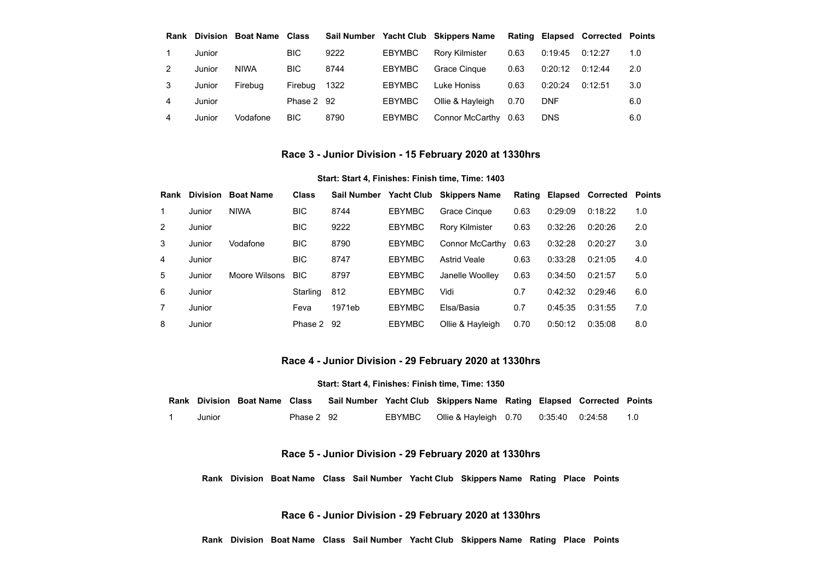| Rank | Division | Boat Name   | Class      | Sail Number |               | <b>Yacht Club Skippers Name</b> |      |            | Rating Elapsed Corrected Points |     |
|------|----------|-------------|------------|-------------|---------------|---------------------------------|------|------------|---------------------------------|-----|
|      | Junior   |             | <b>BIC</b> | 9222        | <b>EBYMBC</b> | <b>Rory Kilmister</b>           | 0.63 | 0:19:45    | 0:12:27                         | 1.0 |
| 2    | Junior   | <b>NIWA</b> | <b>BIC</b> | 8744        | <b>EBYMBC</b> | <b>Grace Cingue</b>             | 0.63 | 0:20:12    | 0:12:44                         | 2.0 |
| 3    | Junior   | Firebua     | Firebua    | 1322        | <b>EBYMBC</b> | Luke Honiss                     | 0.63 | 0:20:24    | 0:12:51                         | 3.0 |
| 4    | Junior   |             | Phase 2 92 |             | <b>EBYMBC</b> | Ollie & Hayleigh                | 0.70 | <b>DNF</b> |                                 | 6.0 |
| 4    | Junior   | Vodafone    | <b>BIC</b> | 8790        | <b>EBYMBC</b> | Connor McCarthy                 | 0.63 | <b>DNS</b> |                                 | 6.0 |

## **Race 3 - Junior Division - 15 February 2020 at 1330hrs**

#### **Start: Start 4, Finishes: Finish time, Time: 1403**

<span id="page-1-0"></span>

| Rank          | <b>Division</b> | <b>Boat Name</b> | <b>Class</b> | <b>Sail Number</b> | <b>Yacht Club</b> | <b>Skippers Name</b>   | Rating | Elapsed | <b>Corrected Points</b> |     |
|---------------|-----------------|------------------|--------------|--------------------|-------------------|------------------------|--------|---------|-------------------------|-----|
| 1.            | Junior          | <b>NIWA</b>      | <b>BIC</b>   | 8744               | <b>EBYMBC</b>     | Grace Cingue           | 0.63   | 0:29:09 | 0:18:22                 | 1.0 |
| $\mathcal{P}$ | Junior          |                  | <b>BIC</b>   | 9222               | <b>EBYMBC</b>     | <b>Rory Kilmister</b>  | 0.63   | 0:32:26 | 0:20:26                 | 2.0 |
| 3             | Junior          | Vodafone         | <b>BIC</b>   | 8790               | <b>EBYMBC</b>     | <b>Connor McCarthy</b> | 0.63   | 0:32:28 | 0:20:27                 | 3.0 |
| 4             | Junior          |                  | <b>BIC</b>   | 8747               | <b>EBYMBC</b>     | <b>Astrid Veale</b>    | 0.63   | 0:33:28 | 0:21:05                 | 4.0 |
| 5             | Junior          | Moore Wilsons    | <b>BIC</b>   | 8797               | <b>EBYMBC</b>     | Janelle Woollev        | 0.63   | 0:34:50 | 0:21:57                 | 5.0 |
| 6             | Junior          |                  | Starling     | 812                | <b>EBYMBC</b>     | Vidi                   | 0.7    | 0.42:32 | 0.29.46                 | 6.0 |
|               | Junior          |                  | Feva         | 1971eb             | <b>EBYMBC</b>     | Elsa/Basia             | 0.7    | 0:45:35 | 0:31:55                 | 7.0 |
| 8             | Junior          |                  | Phase 2      | -92                | <b>EBYMBC</b>     | Ollie & Hayleigh       | 0.70   | 0:50:12 | 0:35:08                 | 8.0 |

## **Race 4 - Junior Division - 29 February 2020 at 1330hrs**

#### **Start: Start 4, Finishes: Finish time, Time: 1350**

<span id="page-1-1"></span>

|        | <b>Rank Division Boat Name Class</b> |            |               | Sail Number Yacht Club Skippers Name Rating Elapsed Corrected Points |  |     |
|--------|--------------------------------------|------------|---------------|----------------------------------------------------------------------|--|-----|
| Junior |                                      | Phase 2 92 | <b>EBYMBC</b> | Ollie & Hayleigh 0.70 0:35:40 0:24:58                                |  | 1.0 |

## **Race 5 - Junior Division - 29 February 2020 at 1330hrs**

**Rank Division Boat Name Class Sail Number Yacht Club Skippers Name Rating Place Points**

**Race 6 - Junior Division - 29 February 2020 at 1330hrs**

**Rank Division Boat Name Class Sail Number Yacht Club Skippers Name Rating Place Points**